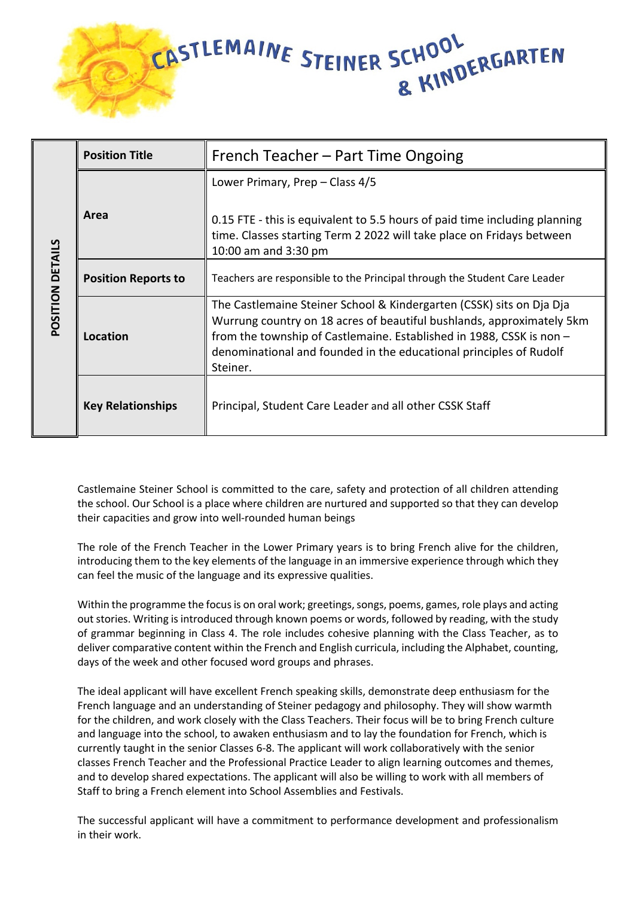

| POSITION DETAILS | <b>Position Title</b>      | French Teacher – Part Time Ongoing                                                                                                                                                                                                                                                                      |
|------------------|----------------------------|---------------------------------------------------------------------------------------------------------------------------------------------------------------------------------------------------------------------------------------------------------------------------------------------------------|
|                  | Area                       | Lower Primary, Prep – Class 4/5<br>0.15 FTE - this is equivalent to 5.5 hours of paid time including planning<br>time. Classes starting Term 2 2022 will take place on Fridays between<br>10:00 am and 3:30 pm                                                                                          |
|                  | <b>Position Reports to</b> | Teachers are responsible to the Principal through the Student Care Leader                                                                                                                                                                                                                               |
|                  | Location                   | The Castlemaine Steiner School & Kindergarten (CSSK) sits on Dja Dja<br>Wurrung country on 18 acres of beautiful bushlands, approximately 5km<br>from the township of Castlemaine. Established in 1988, CSSK is non -<br>denominational and founded in the educational principles of Rudolf<br>Steiner. |
|                  | <b>Key Relationships</b>   | Principal, Student Care Leader and all other CSSK Staff                                                                                                                                                                                                                                                 |

Castlemaine Steiner School is committed to the care, safety and protection of all children attending the school. Our School is a place where children are nurtured and supported so that they can develop their capacities and grow into well-rounded human beings

The role of the French Teacher in the Lower Primary years is to bring French alive for the children, introducing them to the key elements of the language in an immersive experience through which they can feel the music of the language and its expressive qualities.

Within the programme the focus is on oral work; greetings, songs, poems, games, role plays and acting out stories. Writing is introduced through known poems or words, followed by reading, with the study of grammar beginning in Class 4. The role includes cohesive planning with the Class Teacher, as to deliver comparative content within the French and English curricula, including the Alphabet, counting, days of the week and other focused word groups and phrases.

The ideal applicant will have excellent French speaking skills, demonstrate deep enthusiasm for the French language and an understanding of Steiner pedagogy and philosophy. They will show warmth for the children, and work closely with the Class Teachers. Their focus will be to bring French culture and language into the school, to awaken enthusiasm and to lay the foundation for French, which is currently taught in the senior Classes 6-8. The applicant will work collaboratively with the senior classes French Teacher and the Professional Practice Leader to align learning outcomes and themes, and to develop shared expectations. The applicant will also be willing to work with all members of Staff to bring a French element into School Assemblies and Festivals.

The successful applicant will have a commitment to performance development and professionalism in their work.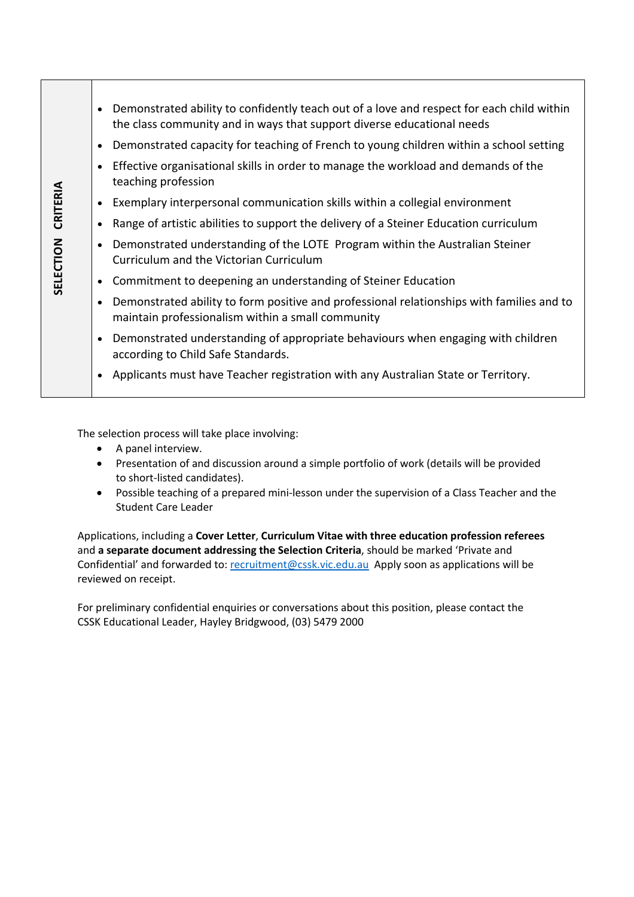|           | Demonstrated ability to confidently teach out of a love and respect for each child within<br>the class community and in ways that support diverse educational needs |
|-----------|---------------------------------------------------------------------------------------------------------------------------------------------------------------------|
|           | Demonstrated capacity for teaching of French to young children within a school setting                                                                              |
|           | Effective organisational skills in order to manage the workload and demands of the<br>teaching profession                                                           |
| CRITERIA  | Exemplary interpersonal communication skills within a collegial environment                                                                                         |
|           | Range of artistic abilities to support the delivery of a Steiner Education curriculum                                                                               |
| SELECTION | Demonstrated understanding of the LOTE Program within the Australian Steiner<br>Curriculum and the Victorian Curriculum                                             |
|           | Commitment to deepening an understanding of Steiner Education                                                                                                       |
|           | Demonstrated ability to form positive and professional relationships with families and to<br>maintain professionalism within a small community                      |
|           | Demonstrated understanding of appropriate behaviours when engaging with children<br>according to Child Safe Standards.                                              |
|           | Applicants must have Teacher registration with any Australian State or Territory.                                                                                   |
|           |                                                                                                                                                                     |

The selection process will take place involving:

- A panel interview.
- Presentation of and discussion around a simple portfolio of work (details will be provided to short-listed candidates).
- Possible teaching of a prepared mini-lesson under the supervision of a Class Teacher and the Student Care Leader

Applications, including a **Cover Letter**, **Curriculum Vitae with three education profession referees** and **a separate document addressing the Selection Criteria**, should be marked 'Private and Confidential' and forwarded to: recruitment@cssk.vic.edu.au Apply soon as applications will be reviewed on receipt.

For preliminary confidential enquiries or conversations about this position, please contact the CSSK Educational Leader, Hayley Bridgwood, (03) 5479 2000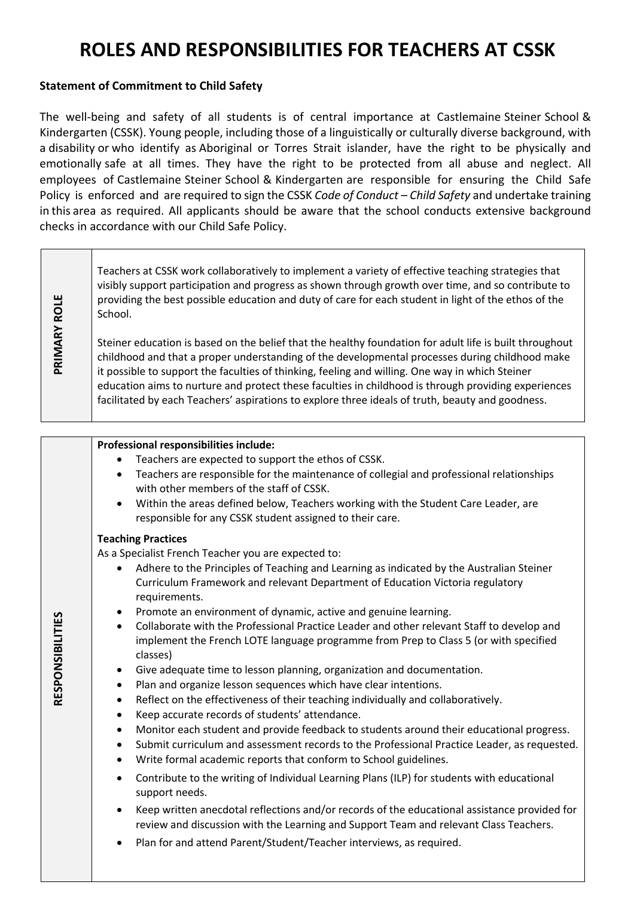# **ROLES AND RESPONSIBILITIES FOR TEACHERS AT CSSK**

# **Statement of Commitment to Child Safety**

The well-being and safety of all students is of central importance at Castlemaine Steiner School & Kindergarten (CSSK). Young people, including those of a linguistically or culturally diverse background, with a disability or who identify as Aboriginal or Torres Strait islander, have the right to be physically and emotionally safe at all times. They have the right to be protected from all abuse and neglect. All employees of Castlemaine Steiner School & Kindergarten are responsible for ensuring the Child Safe Policy is enforced and are required to sign the CSSK *Code of Conduct – Child Safety* and undertake training in this area as required. All applicants should be aware that the school conducts extensive background checks in accordance with our Child Safe Policy.

Teachers at CSSK work collaboratively to implement a variety of effective teaching strategies that visibly support participation and progress as shown through growth over time, and so contribute to **PRIMARY ROLE PRIMARY ROLE** providing the best possible education and duty of care for each student in light of the ethos of the School. Steiner education is based on the belief that the healthy foundation for adult life is built throughout childhood and that a proper understanding of the developmental processes during childhood make it possible to support the faculties of thinking, feeling and willing. One way in which Steiner education aims to nurture and protect these faculties in childhood is through providing experiences facilitated by each Teachers' aspirations to explore three ideals of truth, beauty and goodness.

## **Professional responsibilities include:**

- Teachers are expected to support the ethos of CSSK.
- Teachers are responsible for the maintenance of collegial and professional relationships with other members of the staff of CSSK.
- Within the areas defined below, Teachers working with the Student Care Leader, are responsible for any CSSK student assigned to their care.

#### **Teaching Practices**

As a Specialist French Teacher you are expected to:

- Adhere to the Principles of Teaching and Learning as indicated by the Australian Steiner Curriculum Framework and relevant Department of Education Victoria regulatory requirements.
- Promote an environment of dynamic, active and genuine learning.
- Collaborate with the Professional Practice Leader and other relevant Staff to develop and implement the French LOTE language programme from Prep to Class 5 (or with specified classes)
- Give adequate time to lesson planning, organization and documentation.
- Plan and organize lesson sequences which have clear intentions.
- Reflect on the effectiveness of their teaching individually and collaboratively.
- Keep accurate records of students' attendance.
- Monitor each student and provide feedback to students around their educational progress.
- Submit curriculum and assessment records to the Professional Practice Leader, as requested.
- Write formal academic reports that conform to School guidelines.
- Contribute to the writing of Individual Learning Plans (ILP) for students with educational support needs.
- Keep written anecdotal reflections and/or records of the educational assistance provided for review and discussion with the Learning and Support Team and relevant Class Teachers.
- Plan for and attend Parent/Student/Teacher interviews, as required.

RESPONSIBILITIES **RESPONSIBILITIES**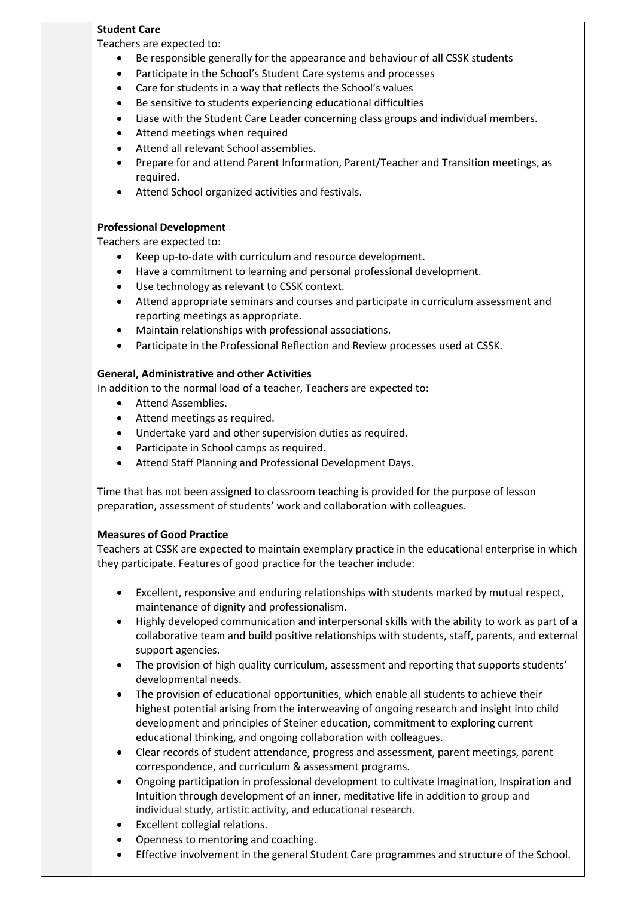## **Student Care**

Teachers are expected to:

- Be responsible generally for the appearance and behaviour of all CSSK students
- Participate in the School's Student Care systems and processes
- Care for students in a way that reflects the School's values
- Be sensitive to students experiencing educational difficulties
- Liase with the Student Care Leader concerning class groups and individual members.
- Attend meetings when required
- Attend all relevant School assemblies.
- Prepare for and attend Parent Information, Parent/Teacher and Transition meetings, as required.
- Attend School organized activities and festivals.

# **Professional Development**

Teachers are expected to:

- Keep up-to-date with curriculum and resource development.
- Have a commitment to learning and personal professional development.
- Use technology as relevant to CSSK context.
- Attend appropriate seminars and courses and participate in curriculum assessment and reporting meetings as appropriate.
- Maintain relationships with professional associations.
- Participate in the Professional Reflection and Review processes used at CSSK.

# **General, Administrative and other Activities**

In addition to the normal load of a teacher, Teachers are expected to:

- Attend Assemblies.
- Attend meetings as required.
- Undertake yard and other supervision duties as required.
- Participate in School camps as required.
- Attend Staff Planning and Professional Development Days.

Time that has not been assigned to classroom teaching is provided for the purpose of lesson preparation, assessment of students' work and collaboration with colleagues.

## **Measures of Good Practice**

Teachers at CSSK are expected to maintain exemplary practice in the educational enterprise in which they participate. Features of good practice for the teacher include:

- Excellent, responsive and enduring relationships with students marked by mutual respect, maintenance of dignity and professionalism.
- Highly developed communication and interpersonal skills with the ability to work as part of a collaborative team and build positive relationships with students, staff, parents, and external support agencies.
- The provision of high quality curriculum, assessment and reporting that supports students' developmental needs.
- The provision of educational opportunities, which enable all students to achieve their highest potential arising from the interweaving of ongoing research and insight into child development and principles of Steiner education, commitment to exploring current educational thinking, and ongoing collaboration with colleagues.
- Clear records of student attendance, progress and assessment, parent meetings, parent correspondence, and curriculum & assessment programs.
- Ongoing participation in professional development to cultivate Imagination, Inspiration and Intuition through development of an inner, meditative life in addition to group and individual study, artistic activity, and educational research.
- Excellent collegial relations.
- Openness to mentoring and coaching.
- Effective involvement in the general Student Care programmes and structure of the School.